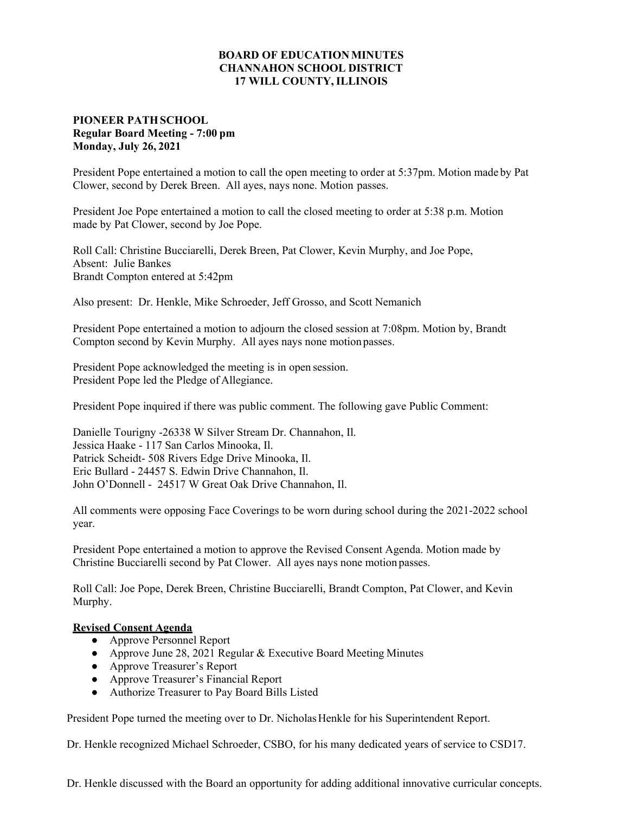## **BOARD OF EDUCATION MINUTES CHANNAHON SCHOOL DISTRICT 17 WILL COUNTY, ILLINOIS**

## **PIONEER PATH SCHOOL Regular Board Meeting - 7:00 pm Monday, July 26, 2021**

President Pope entertained a motion to call the open meeting to order at 5:37pm. Motion made by Pat Clower, second by Derek Breen. All ayes, nays none. Motion passes.

President Joe Pope entertained a motion to call the closed meeting to order at 5:38 p.m. Motion made by Pat Clower, second by Joe Pope.

Roll Call: Christine Bucciarelli, Derek Breen, Pat Clower, Kevin Murphy, and Joe Pope, Absent: Julie Bankes Brandt Compton entered at 5:42pm

Also present: Dr. Henkle, Mike Schroeder, Jeff Grosso, and Scott Nemanich

President Pope entertained a motion to adjourn the closed session at 7:08pm. Motion by, Brandt Compton second by Kevin Murphy. All ayes nays none motion passes.

President Pope acknowledged the meeting is in open session. President Pope led the Pledge of Allegiance.

President Pope inquired if there was public comment. The following gave Public Comment:

Danielle Tourigny -26338 W Silver Stream Dr. Channahon, Il. Jessica Haake - 117 San Carlos Minooka, Il. Patrick Scheidt- 508 Rivers Edge Drive Minooka, Il. Eric Bullard - 24457 S. Edwin Drive Channahon, Il. John O'Donnell - 24517 W Great Oak Drive Channahon, Il.

All comments were opposing Face Coverings to be worn during school during the 2021-2022 school year.

President Pope entertained a motion to approve the Revised Consent Agenda. Motion made by Christine Bucciarelli second by Pat Clower. All ayes nays none motion passes.

Roll Call: Joe Pope, Derek Breen, Christine Bucciarelli, Brandt Compton, Pat Clower, and Kevin Murphy.

## **Revised Consent Agenda**

- **●** Approve Personnel Report
- **●** Approve June 28, 2021 Regular & Executive Board Meeting Minutes
- **●** Approve Treasurer's Report
- **●** Approve Treasurer's Financial Report
- **●** Authorize Treasurer to Pay Board Bills Listed

President Pope turned the meeting over to Dr. Nicholas Henkle for his Superintendent Report.

Dr. Henkle recognized Michael Schroeder, CSBO, for his many dedicated years of service to CSD17.

Dr. Henkle discussed with the Board an opportunity for adding additional innovative curricular concepts.